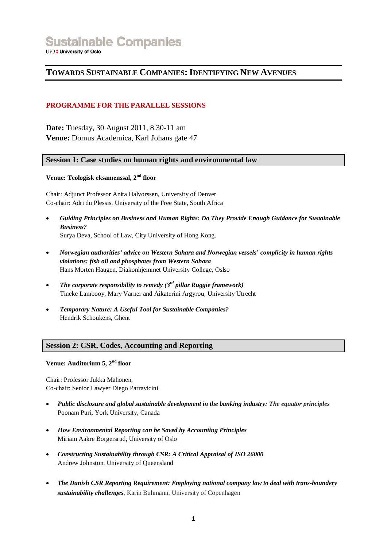# **TOWARDS SUSTAINABLE COMPANIES: IDENTIFYING NEW AVENUES**

## **PROGRAMME FOR THE PARALLEL SESSIONS**

**Date:** Tuesday, 30 August 2011, 8.30-11 am **Venue:** Domus Academica, Karl Johans gate 47

### **Session 1: Case studies on human rights and environmental law**

## **Venue: Teologisk eksamenssal, 2nd floor**

Chair: Adjunct Professor Anita Halvorssen, University of Denver Co-chair: Adri du Plessis, University of the Free State, South Africa

- *Guiding Principles on Business and Human Rights: Do They Provide Enough Guidance for Sustainable Business?* Surya Deva, School of Law, City University of Hong Kong.
- *Norwegian authorities' advice on Western Sahara and Norwegian vessels' complicity in human rights violations: fish oil and phosphates from Western Sahara* Hans Morten Haugen, Diakonhjemmet University College, Oslso
- *The corporate responsibility to remedy (3rd pillar Ruggie framework)* Tineke Lambooy, Mary Varner and Aikaterini Argyrou, University Utrecht
- *Temporary Nature: A Useful Tool for Sustainable Companies?* Hendrik Schoukens, Ghent

# **Session 2: CSR, Codes, Accounting and Reporting**

#### **Venue: Auditorium 5, 2nd floor**

Chair: Professor Jukka Mähönen, Co-chair: Senior Lawyer Diego Parravicini

- *Public disclosure and global sustainable development in the banking industry: The equator principles* Poonam Puri, York University, Canada
- *How Environmental Reporting can be Saved by Accounting Principles* Miriam Aakre Borgersrud, University of Oslo
- *Constructing Sustainability through CSR: A Critical Appraisal of ISO 26000* Andrew Johnston, University of Queensland
- *The Danish CSR Reporting Requirement: Employing national company law to deal with trans-boundery sustainability challenges*, Karin Buhmann, University of Copenhagen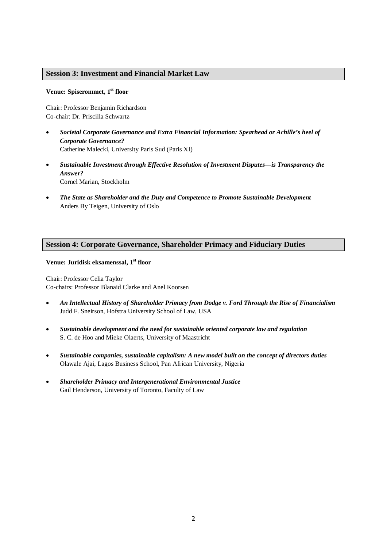# **Session 3: Investment and Financial Market Law**

#### **Venue: Spiserommet, 1st floor**

Chair: Professor Benjamin Richardson Co-chair: Dr. Priscilla Schwartz

- *Societal Corporate Governance and Extra Financial Information: Spearhead or Achille's heel of Corporate Governance?* Catherine Malecki, University Paris Sud (Paris XI)
- *Sustainable Investment through Effective Resolution of Investment Disputes—is Transparency the Answer?* Cornel Marian, Stockholm
- *The State as Shareholder and the Duty and Competence to Promote Sustainable Development* Anders By Teigen, University of Oslo

# **Session 4: Corporate Governance, Shareholder Primacy and Fiduciary Duties**

### **Venue: Juridisk eksamenssal, 1st floor**

Chair: Professor Celia Taylor Co-chairs: Professor Blanaid Clarke and Anel Koorsen

- *An Intellectual History of Shareholder Primacy from Dodge v. Ford Through the Rise of Financialism* Judd F. Sneirson, Hofstra University School of Law, USA
- *Sustainable development and the need for sustainable oriented corporate law and regulation* S. C. de Hoo and Mieke Olaerts, University of Maastricht
- *Sustainable companies, sustainable capitalism: A new model built on the concept of directors duties* Olawale Ajai, Lagos Business School, Pan African University, Nigeria
- *Shareholder Primacy and Intergenerational Environmental Justice* Gail Henderson, University of Toronto, Faculty of Law